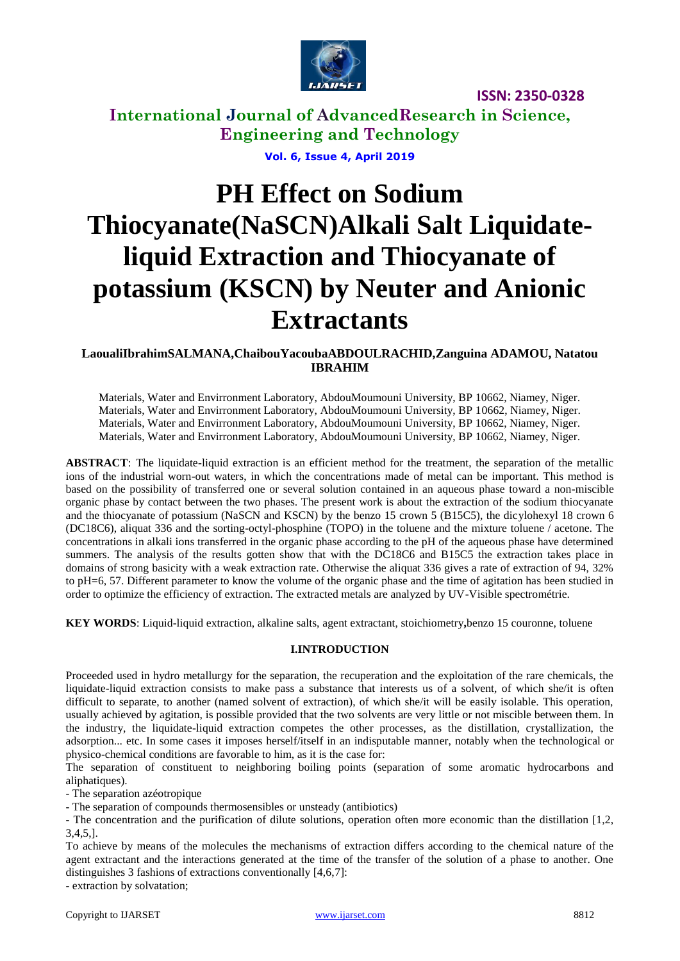

**International Journal of AdvancedResearch in Science, Engineering and Technology**

**Vol. 6, Issue 4, April 2019**

# **PH Effect on Sodium Thiocyanate(NaSCN)Alkali Salt Liquidateliquid Extraction and Thiocyanate of potassium (KSCN) by Neuter and Anionic Extractants**

# **LaoualiIbrahimSALMANA,ChaibouYacoubaABDOULRACHID,Zanguina ADAMOU, Natatou IBRAHIM**

Materials, Water and Envirronment Laboratory, AbdouMoumouni University, BP 10662, Niamey, Niger. Materials, Water and Envirronment Laboratory, AbdouMoumouni University, BP 10662, Niamey, Niger. Materials, Water and Envirronment Laboratory, AbdouMoumouni University, BP 10662, Niamey, Niger. Materials, Water and Envirronment Laboratory, AbdouMoumouni University, BP 10662, Niamey, Niger.

**ABSTRACT**: The liquidate-liquid extraction is an efficient method for the treatment, the separation of the metallic ions of the industrial worn-out waters, in which the concentrations made of metal can be important. This method is based on the possibility of transferred one or several solution contained in an aqueous phase toward a non-miscible organic phase by contact between the two phases. The present work is about the extraction of the sodium thiocyanate and the thiocyanate of potassium (NaSCN and KSCN) by the benzo 15 crown 5 (B15C5), the dicylohexyl 18 crown 6 (DC18C6), aliquat 336 and the sorting-octyl-phosphine (TOPO) in the toluene and the mixture toluene / acetone. The concentrations in alkali ions transferred in the organic phase according to the pH of the aqueous phase have determined summers. The analysis of the results gotten show that with the DC18C6 and B15C5 the extraction takes place in domains of strong basicity with a weak extraction rate. Otherwise the aliquat 336 gives a rate of extraction of 94, 32% to pH=6, 57. Different parameter to know the volume of the organic phase and the time of agitation has been studied in order to optimize the efficiency of extraction. The extracted metals are analyzed by UV-Visible spectrométrie.

**KEY WORDS**: Liquid-liquid extraction, alkaline salts, agent extractant, stoichiometry**,**benzo 15 couronne, toluene

### **I.INTRODUCTION**

Proceeded used in hydro metallurgy for the separation, the recuperation and the exploitation of the rare chemicals, the liquidate-liquid extraction consists to make pass a substance that interests us of a solvent, of which she/it is often difficult to separate, to another (named solvent of extraction), of which she/it will be easily isolable. This operation, usually achieved by agitation, is possible provided that the two solvents are very little or not miscible between them. In the industry, the liquidate-liquid extraction competes the other processes, as the distillation, crystallization, the adsorption... etc. In some cases it imposes herself/itself in an indisputable manner, notably when the technological or physico-chemical conditions are favorable to him, as it is the case for:

The separation of constituent to neighboring boiling points (separation of some aromatic hydrocarbons and aliphatiques).

- The separation azéotropique

- The separation of compounds thermosensibles or unsteady (antibiotics)

- The concentration and the purification of dilute solutions, operation often more economic than the distillation [1,2, 3,4,5,].

To achieve by means of the molecules the mechanisms of extraction differs according to the chemical nature of the agent extractant and the interactions generated at the time of the transfer of the solution of a phase to another. One distinguishes 3 fashions of extractions conventionally [4,6,7]:

- extraction by solvatation;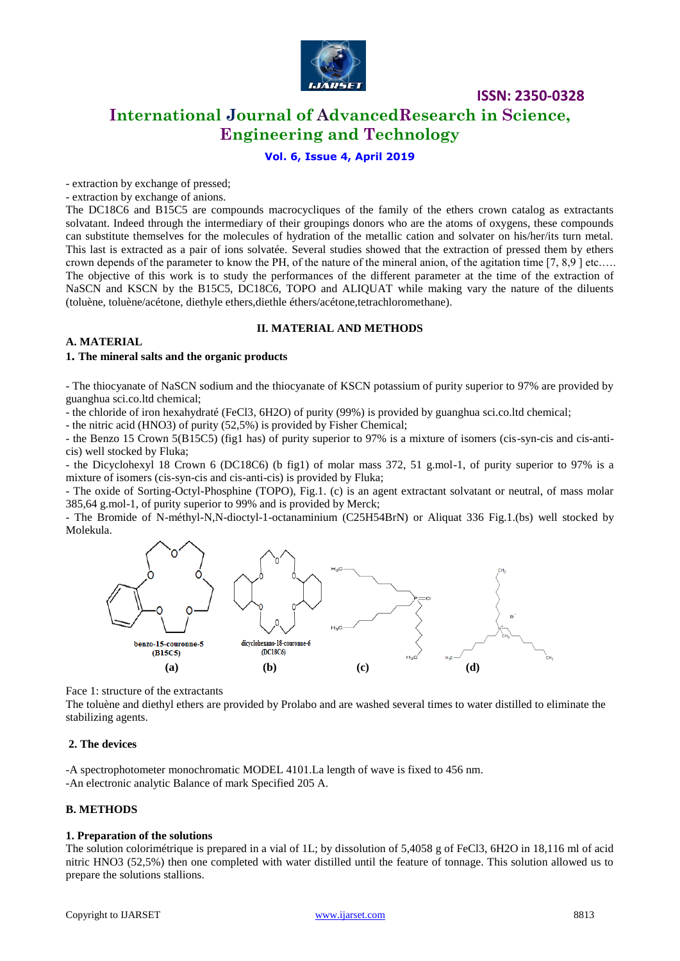

**International Journal of AdvancedResearch in Science, Engineering and Technology**

# **Vol. 6, Issue 4, April 2019**

- extraction by exchange of pressed;

- extraction by exchange of anions.

The DC18C6 and B15C5 are compounds macrocycliques of the family of the ethers crown catalog as extractants solvatant. Indeed through the intermediary of their groupings donors who are the atoms of oxygens, these compounds can substitute themselves for the molecules of hydration of the metallic cation and solvater on his/her/its turn metal. This last is extracted as a pair of ions solvatée. Several studies showed that the extraction of pressed them by ethers crown depends of the parameter to know the PH, of the nature of the mineral anion, of the agitation time [7, 8,9 ] etc.…. The objective of this work is to study the performances of the different parameter at the time of the extraction of NaSCN and KSCN by the B15C5, DC18C6, TOPO and ALIQUAT while making vary the nature of the diluents (toluène, toluène/acétone, diethyle ethers,diethle éthers/acétone,tetrachloromethane).

### **II. MATERIAL AND METHODS**

## **A. MATERIAL**

## **1. The mineral salts and the organic products**

- The thiocyanate of NaSCN sodium and the thiocyanate of KSCN potassium of purity superior to 97% are provided by guanghua sci.co.ltd chemical;

- the chloride of iron hexahydraté (FeCl3, 6H2O) of purity (99%) is provided by guanghua sci.co.ltd chemical;

- the nitric acid (HNO3) of purity (52,5%) is provided by Fisher Chemical;

- the Benzo 15 Crown 5(B15C5) (fig1 has) of purity superior to 97% is a mixture of isomers (cis-syn-cis and cis-anticis) well stocked by Fluka;

- the Dicyclohexyl 18 Crown 6 (DC18C6) (b fig1) of molar mass 372, 51 g.mol-1, of purity superior to 97% is a mixture of isomers (cis-syn-cis and cis-anti-cis) is provided by Fluka;

- The oxide of Sorting-Octyl-Phosphine (TOPO), Fig.1. (c) is an agent extractant solvatant or neutral, of mass molar 385,64 g.mol-1, of purity superior to 99% and is provided by Merck;

- The Bromide of N-méthyl-N,N-dioctyl-1-octanaminium (C25H54BrN) or Aliquat 336 Fig.1.(bs) well stocked by Molekula.



Face 1: structure of the extractants

The toluène and diethyl ethers are provided by Prolabo and are washed several times to water distilled to eliminate the stabilizing agents.

### **2. The devices**

-A spectrophotometer monochromatic MODEL 4101.La length of wave is fixed to 456 nm. -An electronic analytic Balance of mark Specified 205 A.

# **B. METHODS**

### **1. Preparation of the solutions**

The solution colorimétrique is prepared in a vial of 1L; by dissolution of 5,4058 g of FeCl3, 6H2O in 18,116 ml of acid nitric HNO3 (52,5%) then one completed with water distilled until the feature of tonnage. This solution allowed us to prepare the solutions stallions.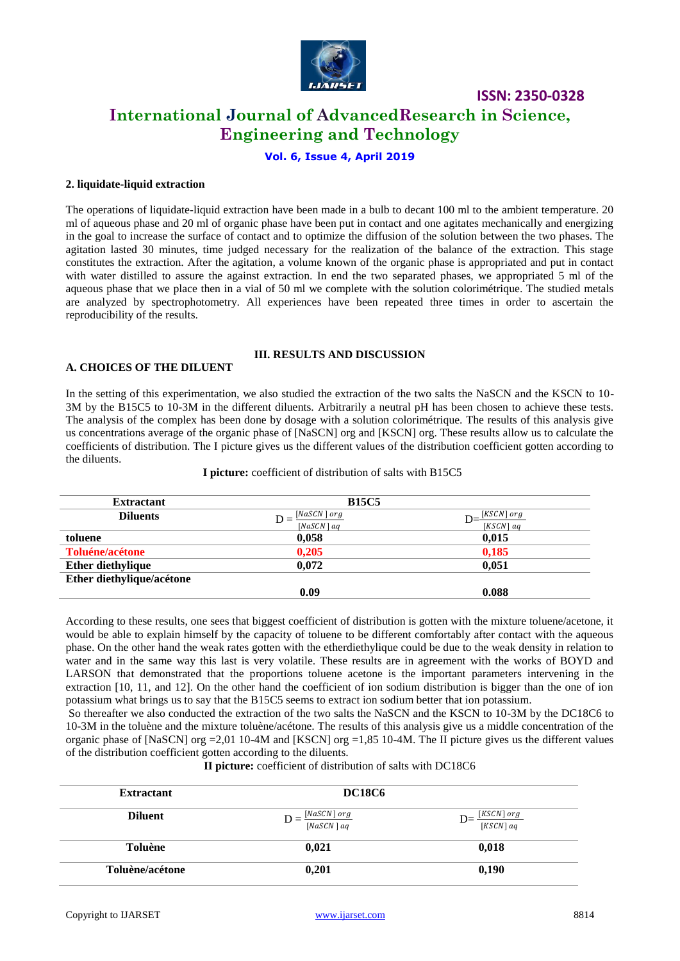

# **International Journal of AdvancedResearch in Science, Engineering and Technology**

# **Vol. 6, Issue 4, April 2019**

### **2. liquidate-liquid extraction**

The operations of liquidate-liquid extraction have been made in a bulb to decant 100 ml to the ambient temperature. 20 ml of aqueous phase and 20 ml of organic phase have been put in contact and one agitates mechanically and energizing in the goal to increase the surface of contact and to optimize the diffusion of the solution between the two phases. The agitation lasted 30 minutes, time judged necessary for the realization of the balance of the extraction. This stage constitutes the extraction. After the agitation, a volume known of the organic phase is appropriated and put in contact with water distilled to assure the against extraction. In end the two separated phases, we appropriated 5 ml of the aqueous phase that we place then in a vial of 50 ml we complete with the solution colorimétrique. The studied metals are analyzed by spectrophotometry. All experiences have been repeated three times in order to ascertain the reproducibility of the results.

# **III. RESULTS AND DISCUSSION**

# **A. CHOICES OF THE DILUENT**

In the setting of this experimentation, we also studied the extraction of the two salts the NaSCN and the KSCN to 10- 3M by the B15C5 to 10-3M in the different diluents. Arbitrarily a neutral pH has been chosen to achieve these tests. The analysis of the complex has been done by dosage with a solution colorimétrique. The results of this analysis give us concentrations average of the organic phase of [NaSCN] org and [KSCN] org. These results allow us to calculate the coefficients of distribution. The I picture gives us the different values of the distribution coefficient gotten according to the diluents.

| <b>Extractant</b>         | <b>B15C5</b>     |                 |
|---------------------------|------------------|-----------------|
| <b>Diluents</b>           | $[NaSCN]$ or $g$ | $[KSCN]$ or $g$ |
|                           | $[NaSCN]$ ag     | $[KSCN]$ ag     |
| toluene                   | 0.058            | 0,015           |
| Toluéne/acétone           | 0.205            | 0,185           |
| <b>Ether diethylique</b>  | 0.072            | 0.051           |
| Ether diethylique/acétone |                  |                 |
|                           | 0.09             | 0.088           |

#### **I picture:** coefficient of distribution of salts with B15C5

According to these results, one sees that biggest coefficient of distribution is gotten with the mixture toluene/acetone, it would be able to explain himself by the capacity of toluene to be different comfortably after contact with the aqueous phase. On the other hand the weak rates gotten with the etherdiethylique could be due to the weak density in relation to water and in the same way this last is very volatile. These results are in agreement with the works of BOYD and LARSON that demonstrated that the proportions toluene acetone is the important parameters intervening in the extraction [10, 11, and 12]. On the other hand the coefficient of ion sodium distribution is bigger than the one of ion potassium what brings us to say that the B15C5 seems to extract ion sodium better that ion potassium.

So thereafter we also conducted the extraction of the two salts the NaSCN and the KSCN to 10-3M by the DC18C6 to 10-3M in the toluène and the mixture toluène/acétone. The results of this analysis give us a middle concentration of the organic phase of [NaSCN] org =2,01 10-4M and [KSCN] org =1,85 10-4M. The II picture gives us the different values of the distribution coefficient gotten according to the diluents.

**II picture:** coefficient of distribution of salts with DC18C6

| <b>Extractant</b> | <b>DC18C6</b>                |                                        |
|-------------------|------------------------------|----------------------------------------|
| <b>Diluent</b>    | [NaSCN] or g<br>$[NaSCN]$ aq | $[KSCN]$ or $g$<br>$D=$<br>$[KSCN]$ aq |
| Toluène           | 0.021                        | 0,018                                  |
| Toluène/acétone   | 0,201                        | 0,190                                  |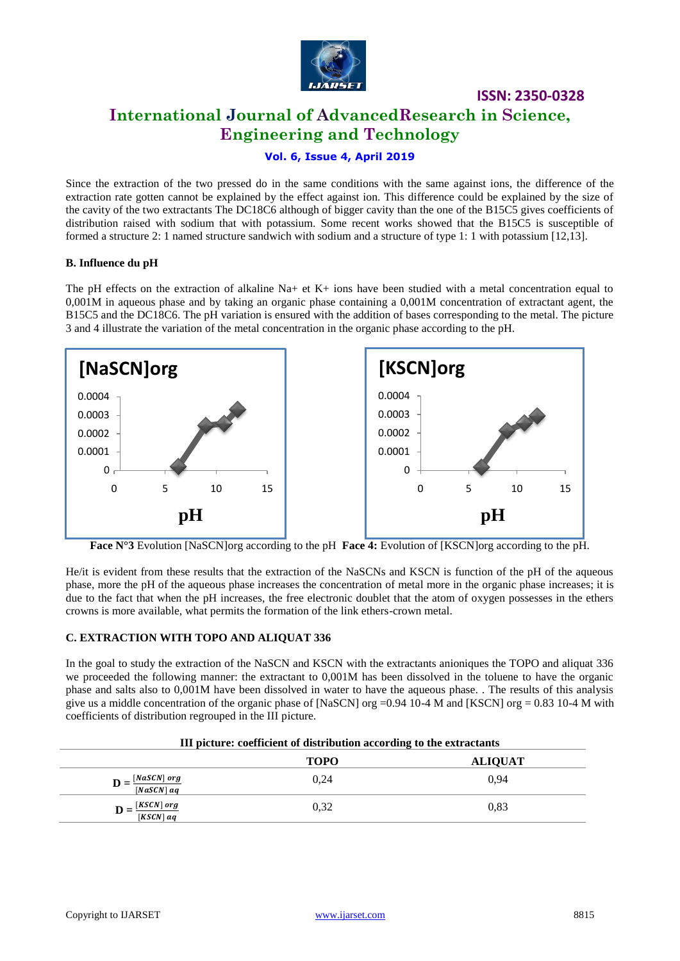

# **ISSN: 2350-0328 International Journal of AdvancedResearch in Science, Engineering and Technology**

# **Vol. 6, Issue 4, April 2019**

Since the extraction of the two pressed do in the same conditions with the same against ions, the difference of the extraction rate gotten cannot be explained by the effect against ion. This difference could be explained by the size of the cavity of the two extractants The DC18C6 although of bigger cavity than the one of the B15C5 gives coefficients of distribution raised with sodium that with potassium. Some recent works showed that the B15C5 is susceptible of formed a structure 2: 1 named structure sandwich with sodium and a structure of type 1: 1 with potassium [12,13].

### **B. Influence du pH**

The pH effects on the extraction of alkaline  $Na+$  et  $K+$  ions have been studied with a metal concentration equal to 0,001M in aqueous phase and by taking an organic phase containing a 0,001M concentration of extractant agent, the B15C5 and the DC18C6. The pH variation is ensured with the addition of bases corresponding to the metal. The picture 3 and 4 illustrate the variation of the metal concentration in the organic phase according to the pH.



**Face N°3** Evolution [NaSCN]org according to the pH **Face 4:** Evolution of [KSCN]org according to the pH.

He/it is evident from these results that the extraction of the NaSCNs and KSCN is function of the pH of the aqueous phase, more the pH of the aqueous phase increases the concentration of metal more in the organic phase increases; it is due to the fact that when the pH increases, the free electronic doublet that the atom of oxygen possesses in the ethers crowns is more available, what permits the formation of the link ethers-crown metal.

# **C. EXTRACTION WITH TOPO AND ALIQUAT 336**

In the goal to study the extraction of the NaSCN and KSCN with the extractants anioniques the TOPO and aliquat 336 we proceeded the following manner: the extractant to 0,001M has been dissolved in the toluene to have the organic phase and salts also to 0,001M have been dissolved in water to have the aqueous phase. . The results of this analysis give us a middle concentration of the organic phase of [NaSCN] org =0.94 10-4 M and [KSCN] org = 0.83 10-4 M with coefficients of distribution regrouped in the III picture.

| III picture: coefficient of distribution according to the extractants |             |                |
|-----------------------------------------------------------------------|-------------|----------------|
|                                                                       | <b>TOPO</b> | <b>ALIOUAT</b> |
| $[NaSCN]$ or $g$<br>$[NaSCN]$ aq                                      | 0.24        | 0.94           |
| $[KSCN]$ or $g$<br>$[KSCN]$ aq                                        | 0.32        | 0.83           |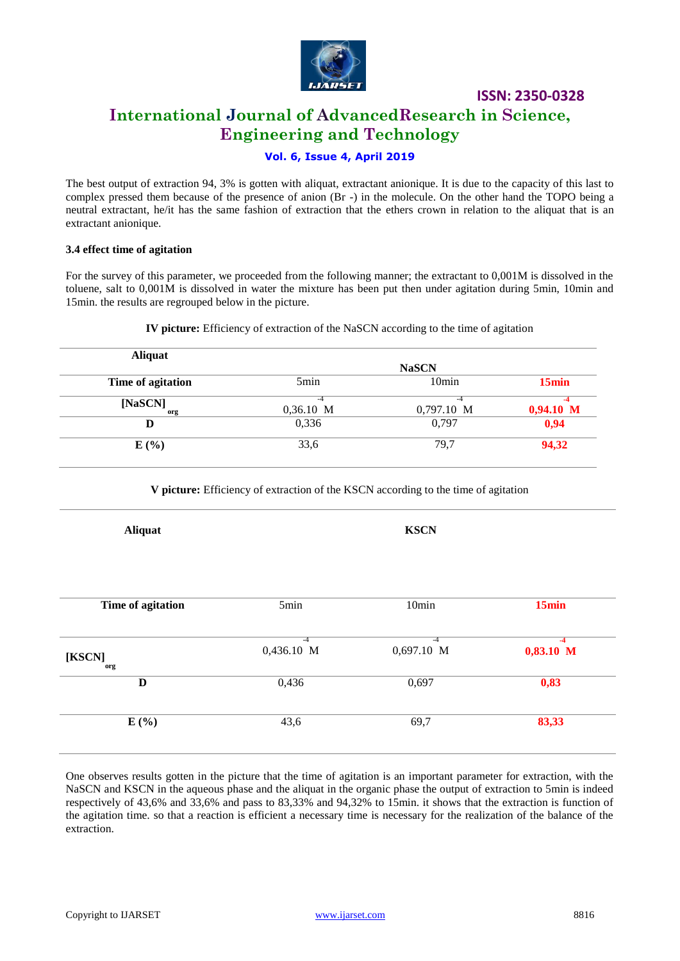

# **International Journal of AdvancedResearch in Science, Engineering and Technology**

# **Vol. 6, Issue 4, April 2019**

The best output of extraction 94, 3% is gotten with aliquat, extractant anionique. It is due to the capacity of this last to complex pressed them because of the presence of anion (Br -) in the molecule. On the other hand the TOPO being a neutral extractant, he/it has the same fashion of extraction that the ethers crown in relation to the aliquat that is an extractant anionique.

### **3.4 effect time of agitation**

For the survey of this parameter, we proceeded from the following manner; the extractant to 0,001M is dissolved in the toluene, salt to 0,001M is dissolved in water the mixture has been put then under agitation during 5min, 10min and 15min. the results are regrouped below in the picture.

| <b>IV picture:</b> Efficiency of extraction of the NaSCN according to the time of agitation |  |  |
|---------------------------------------------------------------------------------------------|--|--|
|                                                                                             |  |  |

| <b>Aliquat</b>    |                  |                   |             |
|-------------------|------------------|-------------------|-------------|
|                   | <b>NaSCN</b>     |                   |             |
| Time of agitation | 5 <sub>min</sub> | 10 <sub>min</sub> | 15min       |
| [NaSCN]           |                  | -4                |             |
| org               | $0,36.10$ M      | 0,797.10 M        | $0,94.10$ M |
| I)                | 0,336            | 0.797             | 0,94        |
| E(%)              | 33,6             | 79,7              | 94,32       |

**V picture:** Efficiency of extraction of the KSCN according to the time of agitation

**Aliquat KSCN**

| 5min | 10 <sub>min</sub>   | 15min                 |
|------|---------------------|-----------------------|
| -4   | -4                  | $0,83.10$ M           |
|      |                     |                       |
|      |                     | 0,83                  |
| 43,6 | 69,7                | 83,33                 |
|      | 0,436.10 M<br>0,436 | $0,697.10$ M<br>0,697 |

One observes results gotten in the picture that the time of agitation is an important parameter for extraction, with the NaSCN and KSCN in the aqueous phase and the aliquat in the organic phase the output of extraction to 5min is indeed respectively of 43,6% and 33,6% and pass to 83,33% and 94,32% to 15min. it shows that the extraction is function of the agitation time. so that a reaction is efficient a necessary time is necessary for the realization of the balance of the extraction.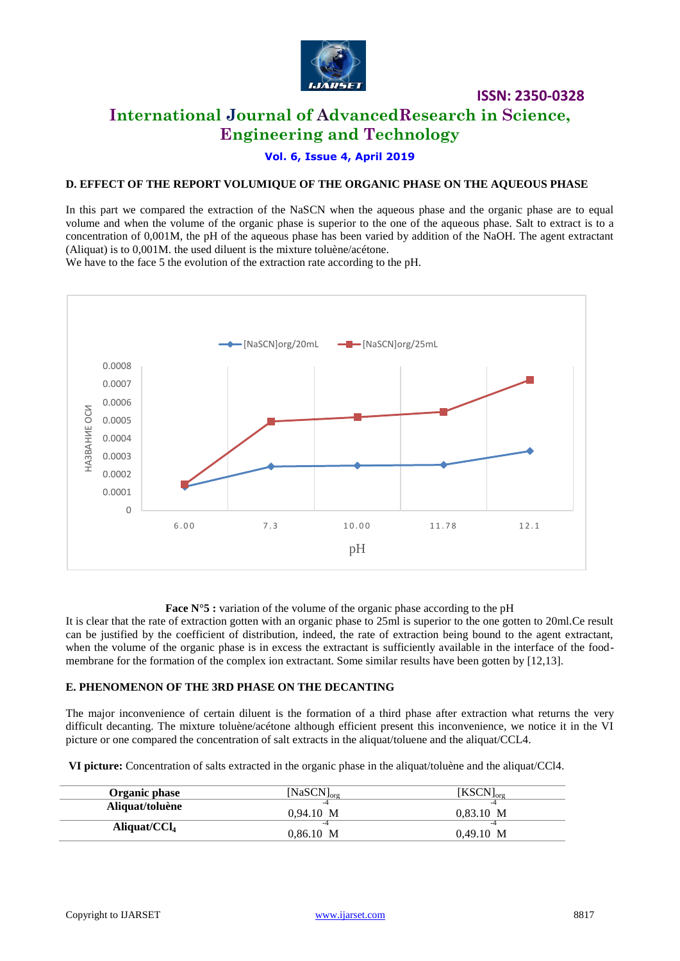

# **International Journal of AdvancedResearch in Science, Engineering and Technology**

**Vol. 6, Issue 4, April 2019**

## **D. EFFECT OF THE REPORT VOLUMIQUE OF THE ORGANIC PHASE ON THE AQUEOUS PHASE**

In this part we compared the extraction of the NaSCN when the aqueous phase and the organic phase are to equal volume and when the volume of the organic phase is superior to the one of the aqueous phase. Salt to extract is to a concentration of 0,001M, the pH of the aqueous phase has been varied by addition of the NaOH. The agent extractant (Aliquat) is to 0,001M. the used diluent is the mixture toluène/acétone.

We have to the face 5 the evolution of the extraction rate according to the pH.



### **Face N°5 :** variation of the volume of the organic phase according to the pH

It is clear that the rate of extraction gotten with an organic phase to 25ml is superior to the one gotten to 20ml.Ce result can be justified by the coefficient of distribution, indeed, the rate of extraction being bound to the agent extractant, when the volume of the organic phase is in excess the extractant is sufficiently available in the interface of the foodmembrane for the formation of the complex ion extractant. Some similar results have been gotten by [12,13].

#### **E. PHENOMENON OF THE 3RD PHASE ON THE DECANTING**

The major inconvenience of certain diluent is the formation of a third phase after extraction what returns the very difficult decanting. The mixture toluène/acétone although efficient present this inconvenience, we notice it in the VI picture or one compared the concentration of salt extracts in the aliquat/toluene and the aliquat/CCL4.

**VI picture:** Concentration of salts extracted in the organic phase in the aliquat/toluène and the aliquat/CCl4.

| Organic phase   | [NaSCN] $_{\text{org}}$ | $[\mathrm{KSCN}]_{\mathrm{org}}$ |
|-----------------|-------------------------|----------------------------------|
| Aliquat/toluène | 0.94.10 M               | 0.83.10 M                        |
| Aliquat/ $CCl4$ | 0.86.10 M               | $0,49.10$ M                      |